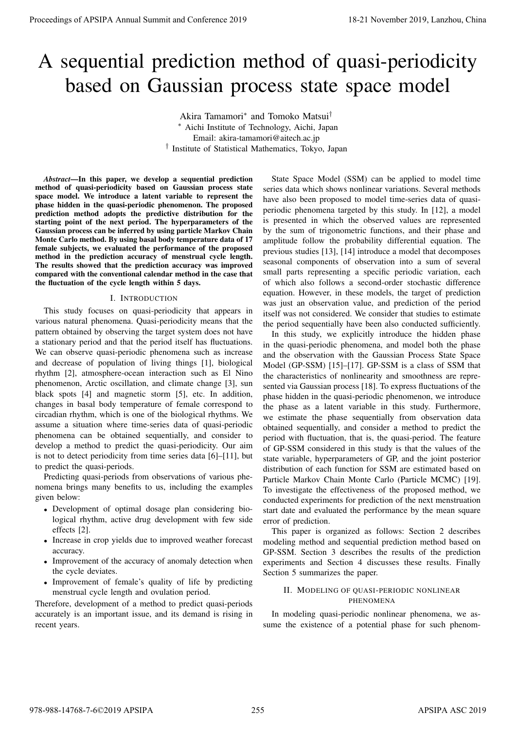# A sequential prediction method of quasi-periodicity based on Gaussian process state space model

Akira Tamamori*<sup>∗</sup>* and Tomoko Matsui*† <sup>∗</sup>* Aichi Institute of Technology, Aichi, Japan Email: akira-tamamori@aitech.ac.jp *†* Institute of Statistical Mathematics, Tokyo, Japan

*Abstract*—In this paper, we develop a sequential prediction method of quasi-periodicity based on Gaussian process state space model. We introduce a latent variable to represent the phase hidden in the quasi-periodic phenomenon. The proposed prediction method adopts the predictive distribution for the starting point of the next period. The hyperparameters of the Gaussian process can be inferred by using particle Markov Chain Monte Carlo method. By using basal body temperature data of 17 female subjects, we evaluated the performance of the proposed method in the prediction accuracy of menstrual cycle length. The results showed that the prediction accuracy was improved compared with the conventional calendar method in the case that the fluctuation of the cycle length within 5 days.

### I. INTRODUCTION

This study focuses on quasi-periodicity that appears in various natural phenomena. Quasi-periodicity means that the pattern obtained by observing the target system does not have a stationary period and that the period itself has fluctuations. We can observe quasi-periodic phenomena such as increase and decrease of population of living things [1], biological rhythm [2], atmosphere-ocean interaction such as El Nino phenomenon, Arctic oscillation, and climate change [3], sun black spots [4] and magnetic storm [5], etc. In addition, changes in basal body temperature of female correspond to circadian rhythm, which is one of the biological rhythms. We assume a situation where time-series data of quasi-periodic phenomena can be obtained sequentially, and consider to develop a method to predict the quasi-periodicity. Our aim is not to detect periodicity from time series data [6]–[11], but to predict the quasi-periods.

Predicting quasi-periods from observations of various phenomena brings many benefits to us, including the examples given below:

- *•* Development of optimal dosage plan considering biological rhythm, active drug development with few side effects [2].
- *•* Increase in crop yields due to improved weather forecast accuracy.
- Improvement of the accuracy of anomaly detection when the cycle deviates.
- *•* Improvement of female's quality of life by predicting menstrual cycle length and ovulation period.

Therefore, development of a method to predict quasi-periods accurately is an important issue, and its demand is rising in recent years.

State Space Model (SSM) can be applied to model time series data which shows nonlinear variations. Several methods have also been proposed to model time-series data of quasiperiodic phenomena targeted by this study. In [12], a model is presented in which the observed values are represented by the sum of trigonometric functions, and their phase and amplitude follow the probability differential equation. The previous studies [13], [14] introduce a model that decomposes seasonal components of observation into a sum of several small parts representing a specific periodic variation, each of which also follows a second-order stochastic difference equation. However, in these models, the target of prediction was just an observation value, and prediction of the period itself was not considered. We consider that studies to estimate the period sequentially have been also conducted sufficiently.

In this study, we explicitly introduce the hidden phase in the quasi-periodic phenomena, and model both the phase and the observation with the Gaussian Process State Space Model (GP-SSM) [15]–[17]. GP-SSM is a class of SSM that the characteristics of nonlinearity and smoothness are represented via Gaussian process [18]. To express fluctuations of the phase hidden in the quasi-periodic phenomenon, we introduce the phase as a latent variable in this study. Furthermore, we estimate the phase sequentially from observation data obtained sequentially, and consider a method to predict the period with fluctuation, that is, the quasi-period. The feature of GP-SSM considered in this study is that the values of the state variable, hyperparameters of GP, and the joint posterior distribution of each function for SSM are estimated based on Particle Markov Chain Monte Carlo (Particle MCMC) [19]. To investigate the effectiveness of the proposed method, we conducted experiments for prediction of the next menstruation start date and evaluated the performance by the mean square error of prediction. **Proceedings of APSIPA Annual Summit and Conference 2019**<br>
A sequential prediction methods of quasi-periodicity<br>
based on Gaussian process state space model<br>
Annual Summit and conference 2019<br>
Annual Summit and Conference

This paper is organized as follows: Section 2 describes modeling method and sequential prediction method based on GP-SSM. Section 3 describes the results of the prediction experiments and Section 4 discusses these results. Finally Section 5 summarizes the paper.

# II. MODELING OF QUASI-PERIODIC NONLINEAR PHENOMENA

In modeling quasi-periodic nonlinear phenomena, we assume the existence of a potential phase for such phenom-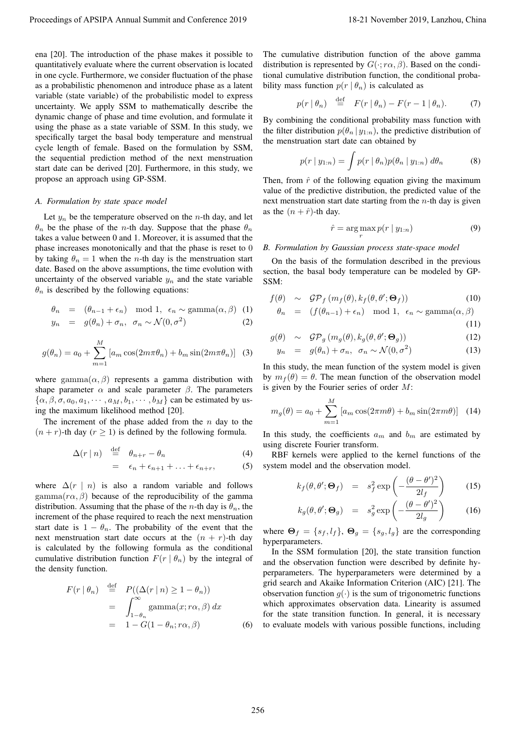ena [20]. The introduction of the phase makes it possible to quantitatively evaluate where the current observation is located in one cycle. Furthermore, we consider fluctuation of the phase as a probabilistic phenomenon and introduce phase as a latent variable (state variable) of the probabilistic model to express uncertainty. We apply SSM to mathematically describe the dynamic change of phase and time evolution, and formulate it using the phase as a state variable of SSM. In this study, we specifically target the basal body temperature and menstrual cycle length of female. Based on the formulation by SSM, the sequential prediction method of the next menstruation start date can be derived [20]. Furthermore, in this study, we propose an approach using GP-SSM. Proceedings of APSIPA Annual Summit and Conference 2019<br>
configurations of the procedure of the procedure of the conference 2019 in the conference 2019 Conference 2019<br>
configurations of the procedure of the conference 20

#### *A. Formulation by state space model*

Let  $y_n$  be the temperature observed on the *n*-th day, and let *θ<sup>n</sup>* be the phase of the *n*-th day. Suppose that the phase *θ<sup>n</sup>* takes a value between 0 and 1. Moreover, it is assumed that the phase increases monotonically and that the phase is reset to 0 by taking  $\theta_n = 1$  when the *n*-th day is the menstruation start date. Based on the above assumptions, the time evolution with uncertainty of the observed variable  $y_n$  and the state variable  $\theta_n$  is described by the following equations:

$$
\theta_n = (\theta_{n-1} + \epsilon_n) \mod 1, \ \epsilon_n \sim \text{gamma}(\alpha, \beta) \tag{1}
$$

$$
y_n = g(\theta_n) + \sigma_n, \ \sigma_n \sim \mathcal{N}(0, \sigma^2)
$$
 (2)

$$
g(\theta_n) = a_0 + \sum_{m=1}^{M} \left[ a_m \cos(2m\pi\theta_n) + b_m \sin(2m\pi\theta_n) \right] \tag{3}
$$

where gamma $(\alpha, \beta)$  represents a gamma distribution with shape parameter  $\alpha$  and scale parameter  $\beta$ . The parameters  $\{\alpha, \beta, \sigma, a_0, a_1, \cdots, a_M, b_1, \cdots, b_M\}$  can be estimated by using the maximum likelihood method [20].

The increment of the phase added from the *n* day to the  $(n + r)$ -th day  $(r \ge 1)$  is defined by the following formula.

$$
\Delta(r \mid n) \stackrel{\text{def}}{=} \theta_{n+r} - \theta_n \tag{4}
$$

$$
= \epsilon_n + \epsilon_{n+1} + \ldots + \epsilon_{n+r}, \qquad (5)
$$

where  $\Delta(r \mid n)$  is also a random variable and follows gamma $(r\alpha, \beta)$  because of the reproducibility of the gamma distribution. Assuming that the phase of the *n*-th day is  $\theta_n$ , the increment of the phase required to reach the next menstruation start date is  $1 - \theta_n$ . The probability of the event that the next menstruation start date occurs at the  $(n + r)$ -th day is calculated by the following formula as the conditional cumulative distribution function  $F(r | \theta_n)$  by the integral of the density function.

$$
F(r | \theta_n) \stackrel{\text{def}}{=} P((\Delta(r | n) \ge 1 - \theta_n))
$$
  
= 
$$
\int_{1-\theta_n}^{\infty} \text{gamma}(x; r\alpha, \beta) dx
$$
  
= 
$$
1 - G(1 - \theta_n; r\alpha, \beta)
$$
 (6)

The cumulative distribution function of the above gamma distribution is represented by  $G(\cdot; r\alpha, \beta)$ . Based on the conditional cumulative distribution function, the conditional probability mass function  $p(r | \theta_n)$  is calculated as

$$
p(r | \theta_n) \stackrel{\text{def}}{=} F(r | \theta_n) - F(r - 1 | \theta_n). \tag{7}
$$

By combining the conditional probability mass function with the filter distribution  $p(\theta_n | y_{1:n})$ , the predictive distribution of the menstruation start date can obtained by

$$
p(r \mid y_{1:n}) = \int p(r \mid \theta_n) p(\theta_n \mid y_{1:n}) \, d\theta_n \tag{8}
$$

Then, from  $\hat{r}$  of the following equation giving the maximum value of the predictive distribution, the predicted value of the next menstruation start date starting from the *n*-th day is given as the  $(n + \hat{r})$ -th day.

$$
\hat{r} = \underset{r}{\arg\max} p(r \mid y_{1:n}) \tag{9}
$$

#### *B. Formulation by Gaussian process state-space model*

On the basis of the formulation described in the previous section, the basal body temperature can be modeled by GP-SSM:

$$
f(\theta) \sim \mathcal{GP}_f(m_f(\theta), k_f(\theta, \theta'; \Theta_f)) \tag{10}
$$

$$
\theta_n = (f(\theta_{n-1}) + \epsilon_n) \mod 1, \ \epsilon_n \sim \text{gamma}(\alpha, \beta)
$$

$$
(11)
$$

$$
g(\theta) \sim \mathcal{GP}_g(m_g(\theta), k_g(\theta, \theta'; \Theta_g)) \tag{12}
$$

$$
y_n = g(\theta_n) + \sigma_n, \ \sigma_n \sim \mathcal{N}(0, \sigma^2)
$$
 (13)

In this study, the mean function of the system model is given by  $m_f(\theta) = \theta$ . The mean function of the observation model is given by the Fourier series of order *M*:

$$
m_g(\theta) = a_0 + \sum_{m=1}^{M} \left[ a_m \cos(2\pi m\theta) + b_m \sin(2\pi m\theta) \right] \tag{14}
$$

In this study, the coefficients  $a_m$  and  $b_m$  are estimated by using discrete Fourier transform.

RBF kernels were applied to the kernel functions of the system model and the observation model.

$$
k_f(\theta, \theta'; \Theta_f) = s_f^2 \exp\left(-\frac{(\theta - \theta')^2}{2l_f}\right) \tag{15}
$$

$$
k_g(\theta, \theta'; \Theta_g) = s_g^2 \exp\left(-\frac{(\theta - \theta')^2}{2l_g}\right) \tag{16}
$$

where  $\Theta_f = \{s_f, l_f\}$ ,  $\Theta_g = \{s_g, l_g\}$  are the corresponding hyperparameters.

In the SSM formulation [20], the state transition function and the observation function were described by definite hyperparameters. The hyperparameters were determined by a grid search and Akaike Information Criterion (AIC) [21]. The observation function  $q(\cdot)$  is the sum of trigonometric functions which approximates observation data. Linearity is assumed for the state transition function. In general, it is necessary to evaluate models with various possible functions, including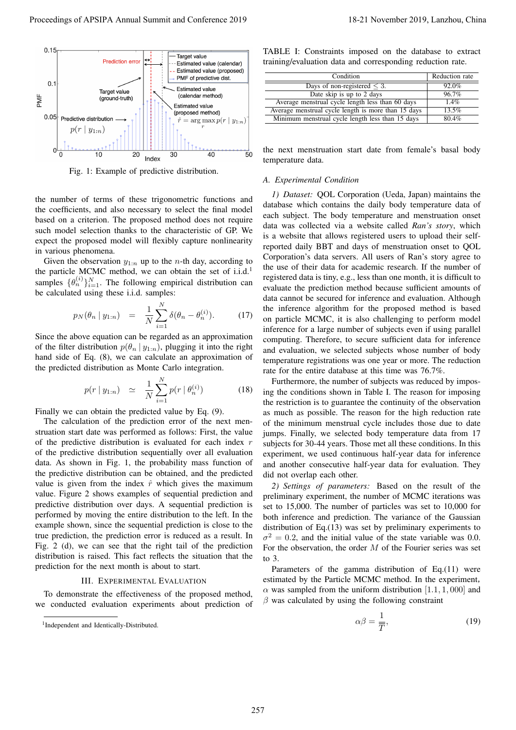

Fig. 1: Example of predictive distribution.

the number of terms of these trigonometric functions and the coefficients, and also necessary to select the final model based on a criterion. The proposed method does not require such model selection thanks to the characteristic of GP. We expect the proposed model will flexibly capture nonlinearity in various phenomena.

Given the observation  $y_{1:n}$  up to the *n*-th day, according to the particle MCMC method, we can obtain the set of  $i.i.d.$ <sup>1</sup> samples  $\{\theta_n^{(i)}\}_{i=1}^N$ . The following empirical distribution can be calculated using these i.i.d. samples:

$$
p_N(\theta_n \mid y_{1:n}) = \frac{1}{N} \sum_{i=1}^N \delta(\theta_n - \theta_n^{(i)}).
$$
 (17)

Since the above equation can be regarded as an approximation of the filter distribution  $p(\theta_n | y_{1:n})$ , plugging it into the right hand side of Eq. (8), we can calculate an approximation of the predicted distribution as Monte Carlo integration.

$$
p(r \mid y_{1:n}) \simeq \frac{1}{N} \sum_{i=1}^{N} p(r \mid \theta_n^{(i)}) \tag{18}
$$

Finally we can obtain the predicted value by Eq. (9).

The calculation of the prediction error of the next menstruation start date was performed as follows: First, the value of the predictive distribution is evaluated for each index *r* of the predictive distribution sequentially over all evaluation data. As shown in Fig. 1, the probability mass function of the predictive distribution can be obtained, and the predicted value is given from the index  $\hat{r}$  which gives the maximum value. Figure 2 shows examples of sequential prediction and predictive distribution over days. A sequential prediction is performed by moving the entire distribution to the left. In the example shown, since the sequential prediction is close to the true prediction, the prediction error is reduced as a result. In Fig. 2 (d), we can see that the right tail of the prediction distribution is raised. This fact reflects the situation that the prediction for the next month is about to start.

# III. EXPERIMENTAL EVALUATION

To demonstrate the effectiveness of the proposed method, we conducted evaluation experiments about prediction of

TABLE I: Constraints imposed on the database to extract training/evaluation data and corresponding reduction rate.

| Condition                                           | Reduction rate |
|-----------------------------------------------------|----------------|
| Days of non-registered $\leq$ 3.                    | 92.0%          |
| Date skip is up to 2 days                           | 96.7%          |
| Average menstrual cycle length less than 60 days    | 1.4%           |
| Average menstrual cycle length is more than 15 days | 13.5%          |
| Minimum menstrual cycle length less than 15 days    | 80.4%          |

the next menstruation start date from female's basal body temperature data.

# *A. Experimental Condition*

*1) Dataset:* QOL Corporation (Ueda, Japan) maintains the database which contains the daily body temperature data of each subject. The body temperature and menstruation onset data was collected via a website called *Ran's story*, which is a website that allows registered users to upload their selfreported daily BBT and days of menstruation onset to QOL Corporation's data servers. All users of Ran's story agree to the use of their data for academic research. If the number of registered data is tiny, e.g., less than one month, it is difficult to evaluate the prediction method because sufficient amounts of data cannot be secured for inference and evaluation. Although the inference algorithm for the proposed method is based on particle MCMC, it is also challenging to perform model inference for a large number of subjects even if using parallel computing. Therefore, to secure sufficient data for inference and evaluation, we selected subjects whose number of body temperature registrations was one year or more. The reduction rate for the entire database at this time was 76.7%. Proceeding of APSIPA Annual Summit and Conference 2019<br>
Proceedings of APSIPA Annual Summit and Conference 2019<br>
Proceeding action and Conference 2019<br>
Proceeding action and Conference 2019<br>
Proceeding action and Conferen

Furthermore, the number of subjects was reduced by imposing the conditions shown in Table I. The reason for imposing the restriction is to guarantee the continuity of the observation as much as possible. The reason for the high reduction rate of the minimum menstrual cycle includes those due to date jumps. Finally, we selected body temperature data from 17 subjects for 30-44 years. Those met all these conditions. In this experiment, we used continuous half-year data for inference and another consecutive half-year data for evaluation. They did not overlap each other.

*2) Settings of parameters:* Based on the result of the preliminary experiment, the number of MCMC iterations was set to 15,000. The number of particles was set to 10,000 for both inference and prediction. The variance of the Gaussian distribution of Eq.(13) was set by preliminary experiments to  $\sigma^2 = 0.2$ , and the initial value of the state variable was 0.0. For the observation, the order *M* of the Fourier series was set to  $3$ 

Parameters of the gamma distribution of Eq.(11) were estimated by the Particle MCMC method. In the experiment,  $\alpha$  was sampled from the uniform distribution [1.1, 1, 000] and  $\beta$  was calculated by using the following constraint

$$
\alpha \beta = \frac{1}{\overline{T}},\tag{19}
$$

<sup>1</sup> Independent and Identically-Distributed.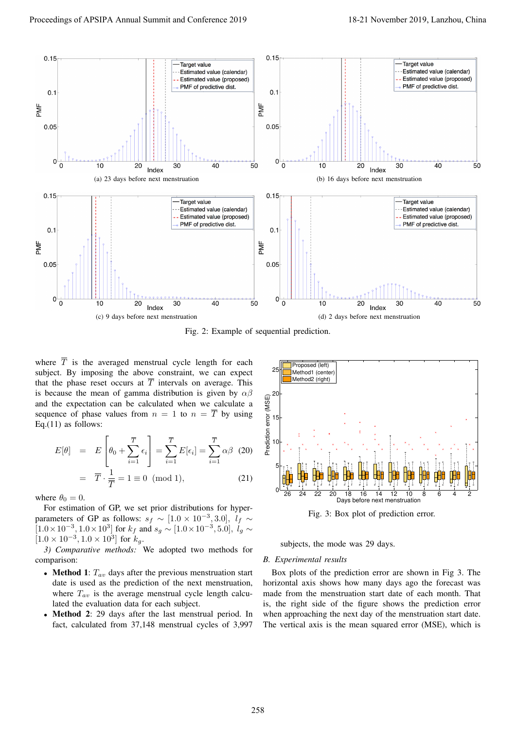

Fig. 2: Example of sequential prediction.

where  $\overline{T}$  is the averaged menstrual cycle length for each subject. By imposing the above constraint, we can expect that the phase reset occurs at  $\overline{T}$  intervals on average. This is because the mean of gamma distribution is given by *αβ* and the expectation can be calculated when we calculate a sequence of phase values from  $n = 1$  to  $n = \overline{T}$  by using Eq. $(11)$  as follows:

$$
E[\theta] = E\left[\theta_0 + \sum_{i=1}^{\overline{T}} \epsilon_i\right] = \sum_{i=1}^{\overline{T}} E[\epsilon_i] = \sum_{i=1}^{\overline{T}} \alpha \beta \quad (20)
$$

$$
= \overline{T} \cdot \frac{1}{\overline{T}} = 1 \equiv 0 \pmod{1}, \tag{21}
$$

where  $\theta_0 = 0$ .

For estimation of GP, we set prior distributions for hyperparameters of GP as follows:  $s_f \sim [1.0 \times 10^{-3}, 3.0], l_f \sim$  $[1.0 \times 10^{-3}, 1.0 \times 10^{3}]$  for  $k_f$  and  $s_g \sim [1.0 \times 10^{-3}, 5.0]$ ,  $l_g \sim$  $[1.0 \times 10^{-3}, 1.0 \times 10^{3}]$  for  $k_g$ .

*3) Comparative methods:* We adopted two methods for comparison:

- *•* Method 1: *Tav* days after the previous menstruation start date is used as the prediction of the next menstruation, where  $T_{av}$  is the average menstrual cycle length calculated the evaluation data for each subject.
- **Method 2:** 29 days after the last menstrual period. In fact, calculated from 37,148 menstrual cycles of 3,997



Fig. 3: Box plot of prediction error.

subjects, the mode was 29 days.

## *B. Experimental results*

Box plots of the prediction error are shown in Fig 3. The horizontal axis shows how many days ago the forecast was made from the menstruation start date of each month. That is, the right side of the figure shows the prediction error when approaching the next day of the menstruation start date. The vertical axis is the mean squared error (MSE), which is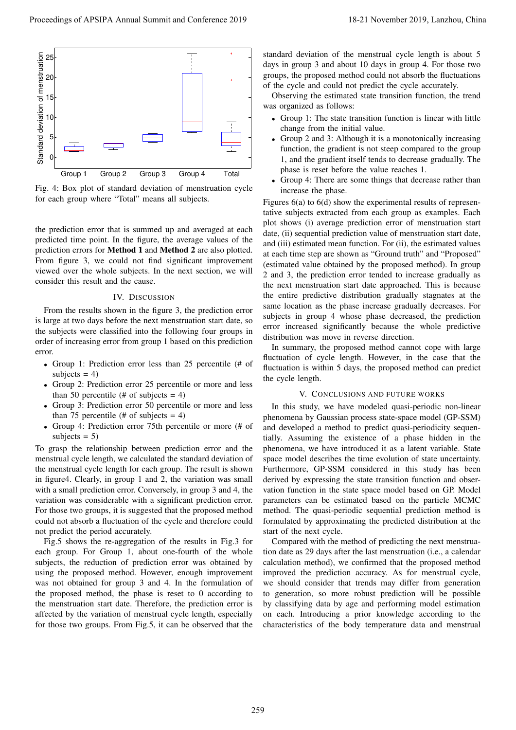

Fig. 4: Box plot of standard deviation of menstruation cycle for each group where "Total" means all subjects.

the prediction error that is summed up and averaged at each predicted time point. In the figure, the average values of the prediction errors for Method 1 and Method 2 are also plotted. From figure 3, we could not find significant improvement viewed over the whole subjects. In the next section, we will consider this result and the cause.

## IV. DISCUSSION

From the results shown in the figure 3, the prediction error is large at two days before the next menstruation start date, so the subjects were classified into the following four groups in order of increasing error from group 1 based on this prediction error.

- *•* Group 1: Prediction error less than 25 percentile (# of subjects  $= 4$ )
- *•* Group 2: Prediction error 25 percentile or more and less than 50 percentile (# of subjects  $= 4$ )
- Group 3: Prediction error 50 percentile or more and less than 75 percentile (# of subjects  $= 4$ )
- *•* Group 4: Prediction error 75th percentile or more (# of subjects  $= 5$ )

To grasp the relationship between prediction error and the menstrual cycle length, we calculated the standard deviation of the menstrual cycle length for each group. The result is shown in figure4. Clearly, in group 1 and 2, the variation was small with a small prediction error. Conversely, in group 3 and 4, the variation was considerable with a significant prediction error. For those two groups, it is suggested that the proposed method could not absorb a fluctuation of the cycle and therefore could not predict the period accurately.

Fig.5 shows the re-aggregation of the results in Fig.3 for each group. For Group 1, about one-fourth of the whole subjects, the reduction of prediction error was obtained by using the proposed method. However, enough improvement was not obtained for group 3 and 4. In the formulation of the proposed method, the phase is reset to 0 according to the menstruation start date. Therefore, the prediction error is affected by the variation of menstrual cycle length, especially for those two groups. From Fig.5, it can be observed that the

standard deviation of the menstrual cycle length is about 5 days in group 3 and about 10 days in group 4. For those two groups, the proposed method could not absorb the fluctuations of the cycle and could not predict the cycle accurately.

Observing the estimated state transition function, the trend was organized as follows:

- *•* Group 1: The state transition function is linear with little change from the initial value.
- *•* Group 2 and 3: Although it is a monotonically increasing function, the gradient is not steep compared to the group 1, and the gradient itself tends to decrease gradually. The phase is reset before the value reaches 1.
- Group 4: There are some things that decrease rather than increase the phase.

Figures 6(a) to 6(d) show the experimental results of representative subjects extracted from each group as examples. Each plot shows (i) average prediction error of menstruation start date, (ii) sequential prediction value of menstruation start date, and (iii) estimated mean function. For (ii), the estimated values at each time step are shown as "Ground truth" and "Proposed" (estimated value obtained by the proposed method). In group 2 and 3, the prediction error tended to increase gradually as the next menstruation start date approached. This is because the entire predictive distribution gradually stagnates at the same location as the phase increase gradually decreases. For subjects in group 4 whose phase decreased, the prediction error increased significantly because the whole predictive distribution was move in reverse direction.

In summary, the proposed method cannot cope with large fluctuation of cycle length. However, in the case that the fluctuation is within 5 days, the proposed method can predict the cycle length.

## V. CONCLUSIONS AND FUTURE WORKS

In this study, we have modeled quasi-periodic non-linear phenomena by Gaussian process state-space model (GP-SSM) and developed a method to predict quasi-periodicity sequentially. Assuming the existence of a phase hidden in the phenomena, we have introduced it as a latent variable. State space model describes the time evolution of state uncertainty. Furthermore, GP-SSM considered in this study has been derived by expressing the state transition function and observation function in the state space model based on GP. Model parameters can be estimated based on the particle MCMC method. The quasi-periodic sequential prediction method is formulated by approximating the predicted distribution at the start of the next cycle.

Compared with the method of predicting the next menstruation date as 29 days after the last menstruation (i.e., a calendar calculation method), we confirmed that the proposed method improved the prediction accuracy. As for menstrual cycle, we should consider that trends may differ from generation to generation, so more robust prediction will be possible by classifying data by age and performing model estimation on each. Introducing a prior knowledge according to the characteristics of the body temperature data and menstrual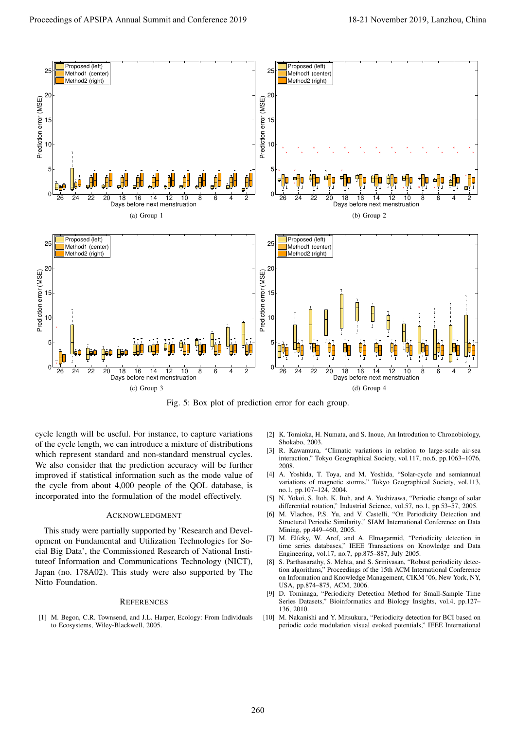

Fig. 5: Box plot of prediction error for each group.

cycle length will be useful. For instance, to capture variations of the cycle length, we can introduce a mixture of distributions which represent standard and non-standard menstrual cycles. We also consider that the prediction accuracy will be further improved if statistical information such as the mode value of the cycle from about 4,000 people of the QOL database, is incorporated into the formulation of the model effectively.

## ACKNOWLEDGMENT

This study were partially supported by 'Research and Development on Fundamental and Utilization Technologies for Social Big Data', the Commissioned Research of National Instituteof Information and Communications Technology (NICT), Japan (no. 178A02). This study were also supported by The Nitto Foundation.

#### **REFERENCES**

[1] M. Begon, C.R. Townsend, and J.L. Harper, Ecology: From Individuals to Ecosystems, Wiley-Blackwell, 2005.

- [2] K. Tomioka, H. Numata, and S. Inoue, An Introdution to Chronobiology, Shokabo, 2003.
- [3] R. Kawamura, "Climatic variations in relation to large-scale air-sea interaction," Tokyo Geographical Society, vol.117, no.6, pp.1063–1076, 2008.
- [4] A. Yoshida, T. Toya, and M. Yoshida, "Solar-cycle and semiannual variations of magnetic storms," Tokyo Geographical Society, vol.113, no.1, pp.107–124, 2004.
- [5] N. Yokoi, S. Itoh, K. Itoh, and A. Yoshizawa, "Periodic change of solar differential rotation," Industrial Science, vol.57, no.1, pp.53–57, 2005.
- [6] M. Vlachos, P.S. Yu, and V. Castelli, "On Periodicity Detection and Structural Periodic Similarity," SIAM International Conference on Data Mining, pp.449–460, 2005.
- [7] M. Elfeky, W. Aref, and A. Elmagarmid, "Periodicity detection in time series databases," IEEE Transactions on Knowledge and Data Engineering, vol.17, no.7, pp.875–887, July 2005.
- [8] S. Parthasarathy, S. Mehta, and S. Srinivasan, "Robust periodicity detection algorithms," Proceedings of the 15th ACM International Conference on Information and Knowledge Management, CIKM '06, New York, NY, USA, pp.874–875, ACM, 2006.
- [9] D. Tominaga, "Periodicity Detection Method for Small-Sample Time Series Datasets," Bioinformatics and Biology Insights, vol.4, pp.127– 136, 2010.
- [10] M. Nakanishi and Y. Mitsukura, "Periodicity detection for BCI based on periodic code modulation visual evoked potentials," IEEE International